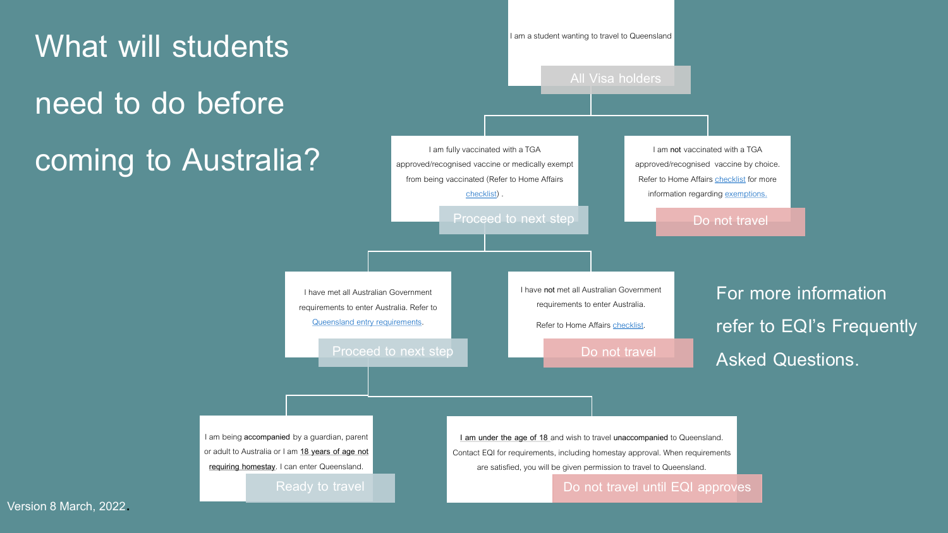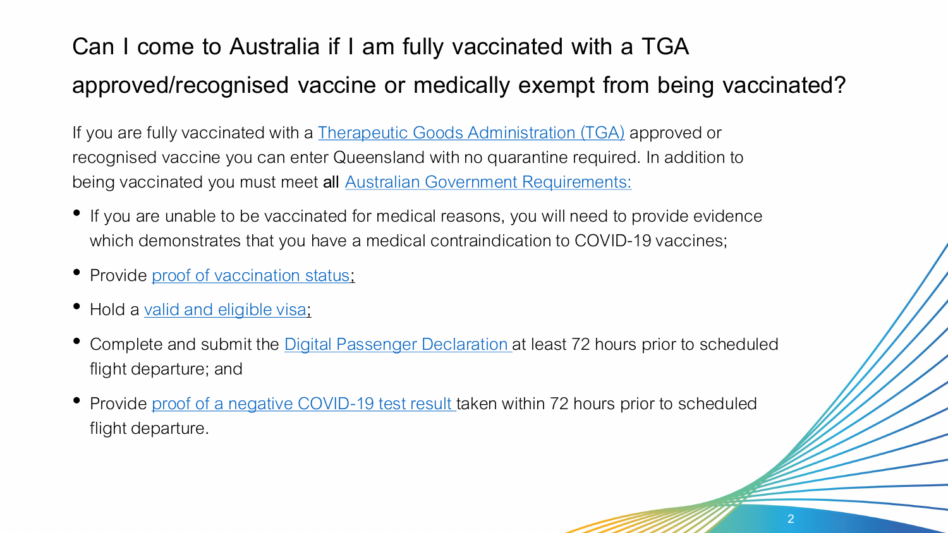## **Can I come to Australia if I am fully vaccinated with a TGA approved/recognised vaccine or medically exempt from being vaccinated?**

If you are fully vaccinated with a **Therapeutic Goods Administration (TGA)** approved or recognised vaccine you can enter Queensland with no quarantine required. In addition to being vaccinated you must meet **all** [Australian Government Requirements:](https://covid19.homeaffairs.gov.au/preparing-to-travel-to-australia-from-overseas)

- If you are unable to be vaccinated for medical reasons, you will need to provide evidence which demonstrates that you have a medical contraindication to COVID-19 vaccines;
- Provide [proof of vaccination status;](https://www.studyaustralia.gov.au/english/latest-travel-and-visa-advice/covid-19-vaccine-information/proof-of-vaccination)
- Hold a [valid and eligible visa;](https://covid19.homeaffairs.gov.au/vaccinated-travellers#toc-8)
- Complete and submit the [Digital Passenger Declaration](https://covid19.homeaffairs.gov.au/digital-passenger-declaration)at least 72 hours prior to scheduled flight departure; and
- Provide [proof of a negative COVID-19 test result](https://www.health.gov.au/health-alerts/covid-19/international-travel/inbound) taken within 72 hours prior to scheduled flight departure.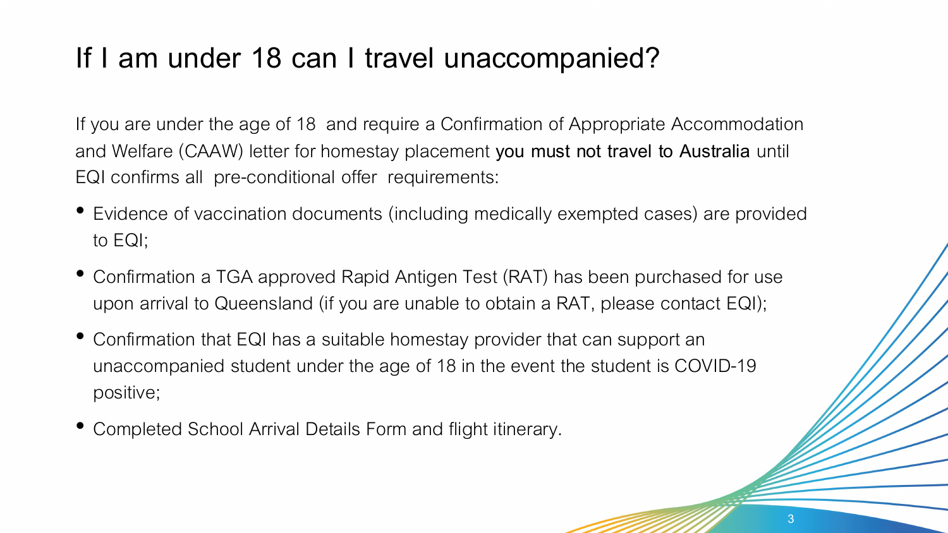### **If I am under 18 can I travel unaccompanied?**

If you are under the age of 18 and require a Confirmation of Appropriate Accommodation and Welfare (CAAW) letter for homestay placement **you must not travel to Australia** until EQI confirms all pre-conditional offer requirements:

- Evidence of vaccination documents (including medically exempted cases) are provided to EQI;
- Confirmation a TGA approved Rapid Antigen Test (RAT) has been purchased for use upon arrival to Queensland (if you are unable to obtain a RAT, please contact EQI);

3

- Confirmation that EQI has a suitable homestay provider that can support an unaccompanied student under the age of 18 in the event the student is COVID-19 positive;
- Completed School Arrival Details Form and flight itinerary.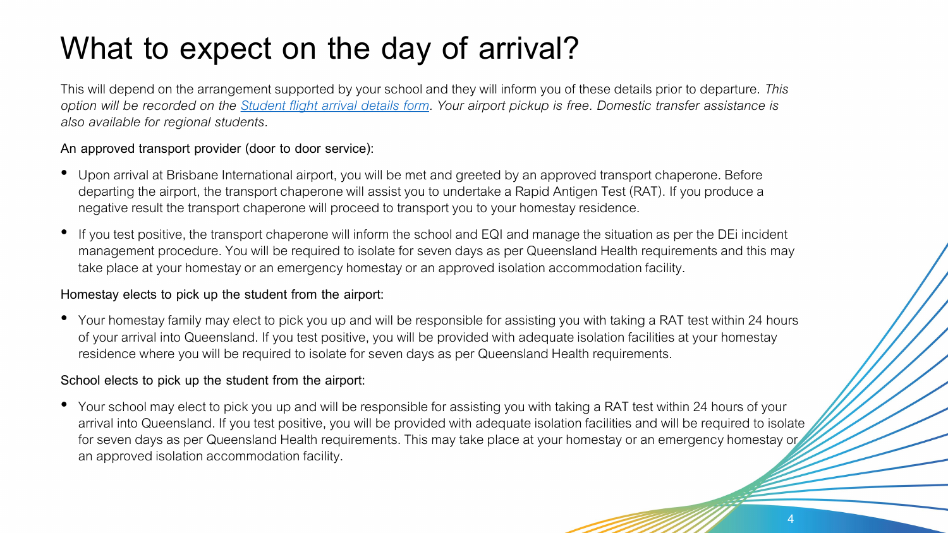## **What to expect on the day of arrival?**

This will depend on the arrangement supported by your school and they will inform you of these details prior to departure. *This option will be recorded on the [Student flight arrival details form.](https://eqi.com.au/for-students/before-arriving/airport-pickup) Your airport pickup is free. Domestic transfer assistance is also available for regional students.* 

#### **An approved transport provider (door to door service):**

- Upon arrival at Brisbane International airport, you will be met and greeted by an approved transport chaperone. Before departing the airport, the transport chaperone will assist you to undertake a Rapid Antigen Test (RAT). If you produce a negative result the transport chaperone will proceed to transport you to your homestay residence.
- If you test positive, the transport chaperone will inform the school and EQI and manage the situation as per the DEi incident management procedure. You will be required to isolate for seven days as per Queensland Health requirements and this may take place at your homestay or an emergency homestay or an approved isolation accommodation facility.

#### **Homestay elects to pick up the student from the airport:**

• Your homestay family may elect to pick you up and will be responsible for assisting you with taking a RAT test within 24 hours of your arrival into Queensland. If you test positive, you will be provided with adequate isolation facilities at your homestay residence where you will be required to isolate for seven days as per Queensland Health requirements.

#### **School elects to pick up the student from the airport:**

• Your school may elect to pick you up and will be responsible for assisting you with taking a RAT test within 24 hours of your arrival into Queensland. If you test positive, you will be provided with adequate isolation facilities and will be required to isolate for seven days as per Queensland Health requirements. This may take place at your homestay or an emergency homestay or an approved isolation accommodation facility.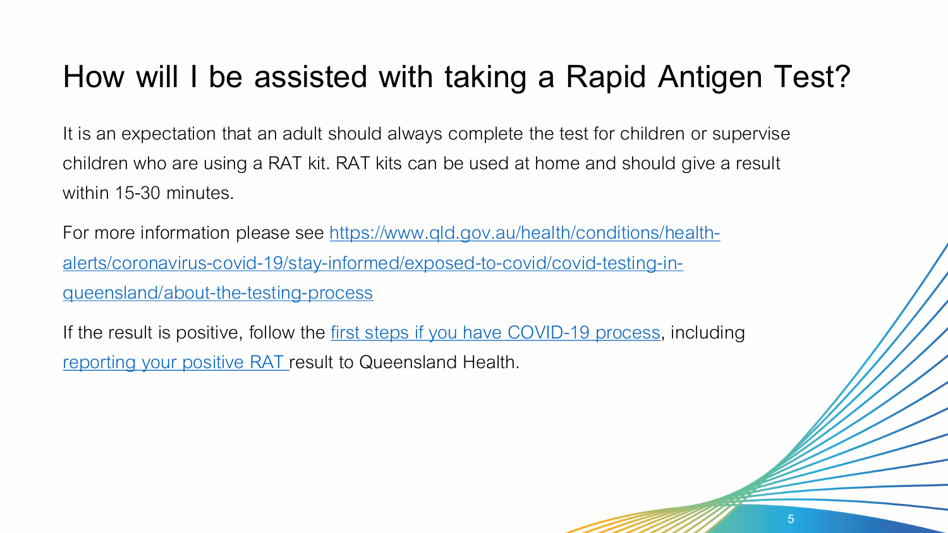## **How will I be assisted with taking a Rapid Antigen Test?**

It is an expectation that an adult should always complete the test for children or supervise children who are using a RAT kit. RAT kits can be used at home and should give a result within 15-30 minutes.

For more information please see https://www.qld.gov.au/health/conditions/health[alerts/coronavirus-covid-19/stay-informed/exposed-to-covid/covid-testing-in](https://www.qld.gov.au/health/conditions/health-alerts/coronavirus-covid-19/stay-informed/exposed-to-covid/covid-testing-in-queensland/about-the-testing-process)queensland/about-the-testing-process

If the result is positive, follow the [first steps if you have COVID-19 process](https://www.qld.gov.au/health/conditions/health-alerts/coronavirus-covid-19/stay-informed/i-have-covid/what-to-do-if-i-have-covid), including [reporting your positive RAT r](https://www.qld.gov.au/rat-positive)esult to Queensland Health.

5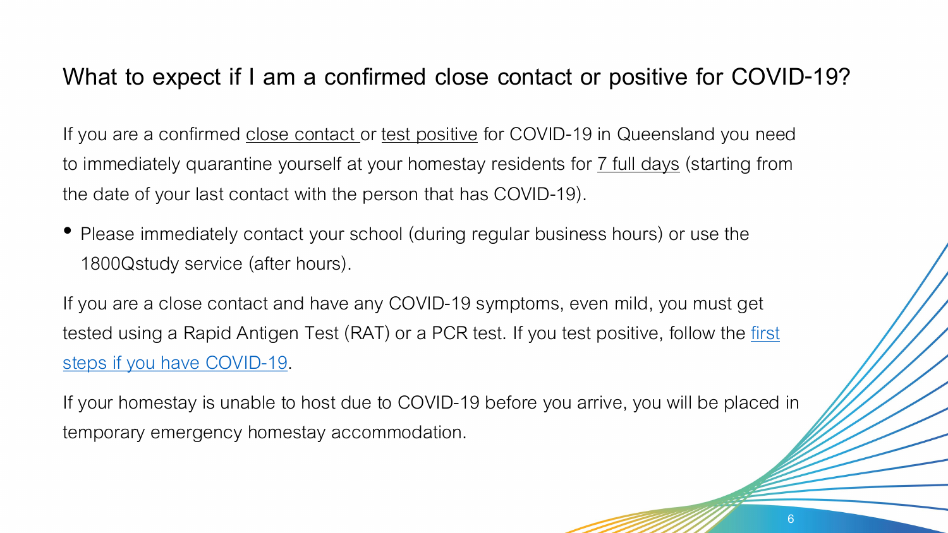### **What to expect if I am a confirmed close contact or positive for COVID-19?**

If you are a confirmed close contact or test positive for COVID-19 in Queensland you need to immediately quarantine yourself at your homestay residents for 7 full days (starting from the date of your last contact with the person that has COVID-19).

• Please immediately contact your school (during regular business hours) or use the 1800Qstudy service (after hours).

If you are a close contact and have any COVID-19 symptoms, even mild, you must get tested using a Rapid Antigen Test (RAT) or a PCR test. If you test positive, follow the first steps if you have COVID-19.

If your homestay is unable to host due to COVID-19 before you arrive, you will be placed in temporary emergency homestay accommodation.